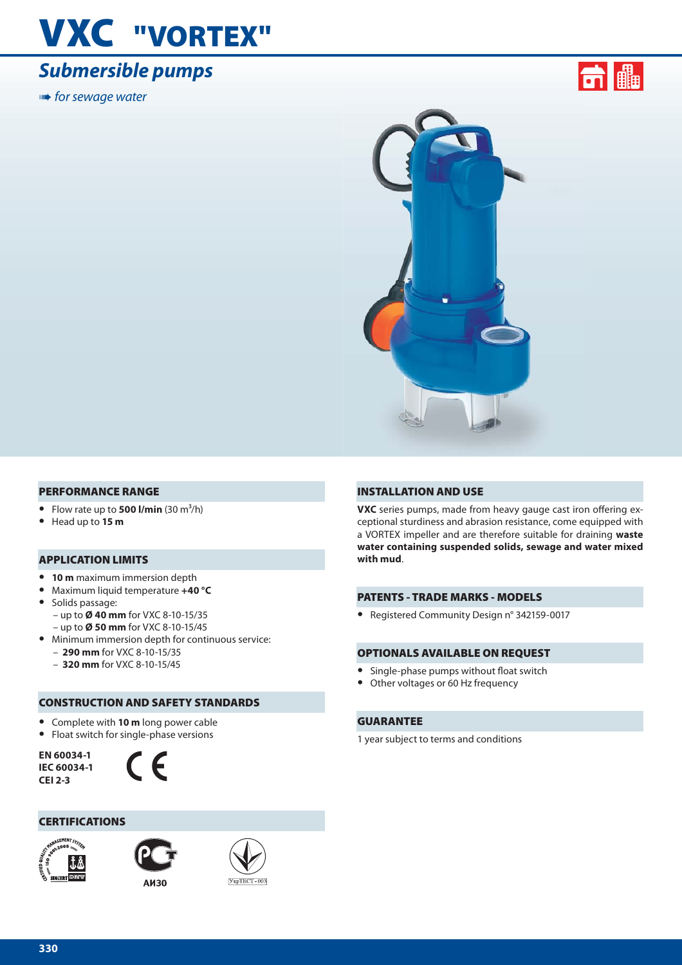## **VXC "VORTEX"**

### *Submersible pumps*

**■ for sewage water** 





#### **PERFORMANCE RANGE**

- Flow rate up to **500 l/min**  $(30 \text{ m}^3/\text{h})$
- **•** Head up to **15 m**

#### **APPLICATION LIMITS**

- **• 10 m** maximum immersion depth
- **•** Maximum liquid temperature **+40 °C**
- **•** Solids passage: – up to **Ø 40 mm** for VXC 8-10-15/35 – up to **Ø 50 mm** for VXC 8-10-15/45
- **•** Minimum immersion depth for continuous service: – **290 mm** for VXC 8-10-15/35
	- **320 mm** for VXC 8-10-15/45

### **CONSTRUCTION AND SAFETY STANDARDS**

- **•** Complete with **10 m** long power cable
- **•** Float switch for single-phase versions

**EN 60034-1 IEC 60034-1 CEI 2-3**



#### **CERTIFICATIONS**





**A**<sub>H</sub>30



#### **INSTALLATION AND USE**

**VXC** series pumps, made from heavy gauge cast iron offering exceptional sturdiness and abrasion resistance, come equipped with a VORTEX impeller and are therefore suitable for draining **waste water containing suspended solids, sewage and water mixed with mud**.

#### **PATENTS - TRADE MARKS - MODELS**

**•** Registered Community Design n° 342159-0017

#### **OPTIONALS AVAILABLE ON REQUEST**

- Single-phase pumps without float switch
- **•** Other voltages or 60 Hz frequency

#### **GUARANTEE**

1 year subject to terms and conditions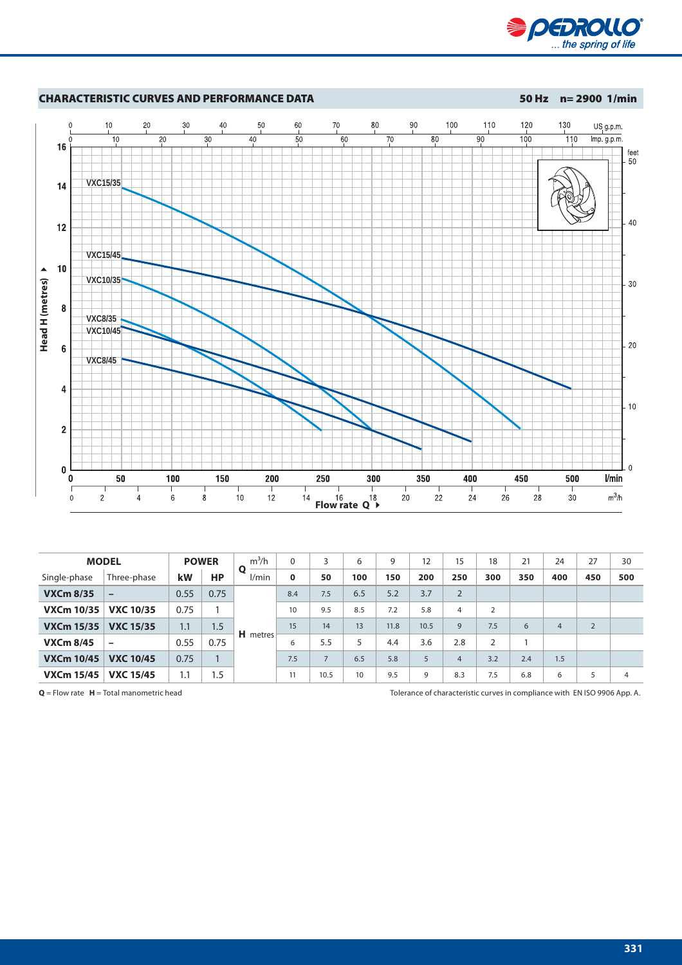



| <b>MODEL</b>      |                  |      | <b>POWER</b> | $m^3/h$    | $\Omega$ | 3              | 6   | 9    | 12   | 15             | 18             | 21  | 24             | 27             | 30  |
|-------------------|------------------|------|--------------|------------|----------|----------------|-----|------|------|----------------|----------------|-----|----------------|----------------|-----|
| Single-phase      | Three-phase      | kW   | <b>HP</b>    | O<br>l/min | $\bf{0}$ | 50             | 100 | 150  | 200  | 250            | 300            | 350 | 400            | 450            | 500 |
| <b>VXCm 8/35</b>  | $\qquad \qquad$  | 0.55 | 0.75         |            | 8.4      | 7.5            | 6.5 | 5.2  | 3.7  | $\overline{2}$ |                |     |                |                |     |
| <b>VXCm 10/35</b> | <b>VXC 10/35</b> | 0.75 |              |            | 10       | 9.5            | 8.5 | 7.2  | 5.8  | 4              | $\overline{2}$ |     |                |                |     |
| <b>VXCm 15/35</b> | <b>VXC 15/35</b> | 1.1  | 1.5          |            | 15       | 14             | 13  | 11.8 | 10.5 | 9              | 7.5            | 6   | $\overline{4}$ | $\overline{2}$ |     |
| <b>VXCm 8/45</b>  |                  | 0.55 | 0.75         | H metres   | 6        | 5.5            | 5   | 4.4  | 3.6  | 2.8            | 2              |     |                |                |     |
| <b>VXCm 10/45</b> | <b>VXC 10/45</b> | 0.75 |              |            | 7.5      | $\overline{7}$ | 6.5 | 5.8  | 5    | $\overline{4}$ | 3.2            | 2.4 | 1.5            |                |     |
| <b>VXCm 15/45</b> | <b>VXC 15/45</b> | 1.1  | 1.5          |            | 11       | 10.5           | 10  | 9.5  | 9    | 8.3            | 7.5            | 6.8 | 6              | 5              | 4   |

**Q** = Flow rate **H** = Total manometric head Tolerance of characteristic curves in compliance with EN ISO 9906 App. A.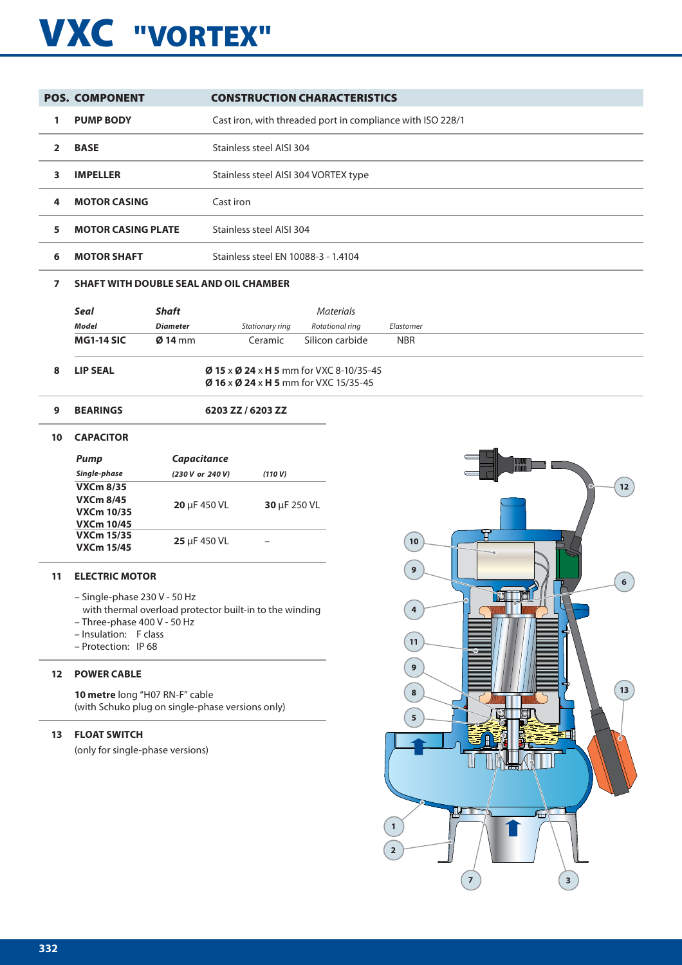# **VXC "VORTEX"**

|   | <b>POS. COMPONENT</b>     | <b>CONSTRUCTION CHARACTERISTICS</b>                        |
|---|---------------------------|------------------------------------------------------------|
|   | <b>PUMP BODY</b>          | Cast iron, with threaded port in compliance with ISO 228/1 |
|   | <b>BASE</b>               | Stainless steel AISI 304                                   |
| з | <b>IMPELLER</b>           | Stainless steel AISI 304 VORTEX type                       |
| 4 | <b>MOTOR CASING</b>       | Cast iron                                                  |
| 5 | <b>MOTOR CASING PLATE</b> | Stainless steel AISI 304                                   |
| 6 | <b>MOTOR SHAFT</b>        | Stainless steel FN 10088-3 - 1.4104                        |

#### **7 SHAFT WITH DOUBLE SEAL AND OIL CHAMBER**

|    | Seal              | <b>Shaft</b>      |                                                                                                             | <b>Materials</b> |            |
|----|-------------------|-------------------|-------------------------------------------------------------------------------------------------------------|------------------|------------|
|    | Model             | <b>Diameter</b>   | Stationary ring                                                                                             | Rotational rina  | Elastomer  |
|    | <b>MG1-14 SIC</b> | $\emptyset$ 14 mm | Ceramic                                                                                                     | Silicon carbide  | <b>NBR</b> |
| 8. | LIP SEAL          |                   | <b>Ø 15 x Ø 24 x H 5</b> mm for VXC 8-10/35-45<br>$\emptyset$ 16 x $\emptyset$ 24 x H 5 mm for VXC 15/35-45 |                  |            |

#### **9 BEARINGS 6203 ZZ / 6203 ZZ**

#### **10 CAPACITOR**

| Pump              | Capacitance      |              |
|-------------------|------------------|--------------|
| Single-phase      | (230 V or 240 V) | (110 V)      |
| <b>VXCm 8/35</b>  |                  |              |
| <b>VXCm 8/45</b>  | 20 µF 450 VL     | 30 µF 250 VL |
| VXCm 10/35        |                  |              |
| <b>VXCm 10/45</b> |                  |              |
| <b>VXCm 15/35</b> | 25 µF 450 VL     |              |
| <b>VXCm 15/45</b> |                  |              |

#### **11 ELECTRIC MOTOR**

- Single-phase 230 V 50 Hz
	- with thermal overload protector built-in to the winding
- Three-phase 400 V 50 Hz
- Insulation: F class
- Protection: IP 68

#### **12 POWER CABLE**

**10 metre** long "H07 RN-F" cable (with Schuko plug on single-phase versions only)

#### **13 FLOAT SWITCH**

(only for single-phase versions)